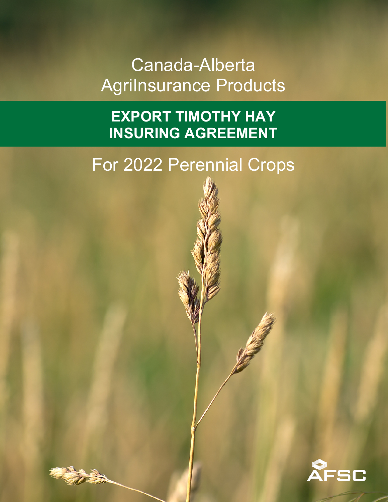# Canada-Alberta AgriInsurance Products

**EXPORT TIMOTHY HAY INSURING AGREEMENT**

# For 2022 Perennial Crops



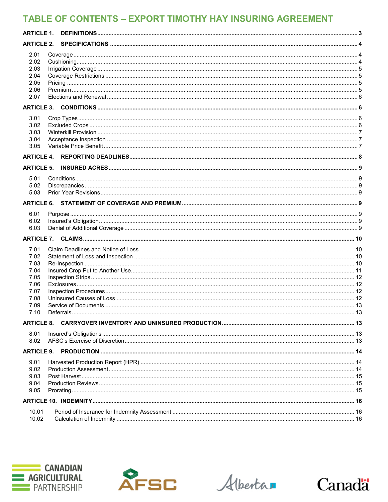# **TABLE OF CONTENTS - EXPORT TIMOTHY HAY INSURING AGREEMENT**

| <b>ARTICLE 1.</b> |  |  |  |  |  |
|-------------------|--|--|--|--|--|
| <b>ARTICLE 2.</b> |  |  |  |  |  |
| 2.01              |  |  |  |  |  |
| 2.02              |  |  |  |  |  |
| 2.03<br>2.04      |  |  |  |  |  |
| 2.05              |  |  |  |  |  |
| 2.06              |  |  |  |  |  |
| 2.07              |  |  |  |  |  |
|                   |  |  |  |  |  |
| 3.01              |  |  |  |  |  |
| 3.02              |  |  |  |  |  |
| 3.03<br>3.04      |  |  |  |  |  |
| 3.05              |  |  |  |  |  |
| <b>ARTICLE 4.</b> |  |  |  |  |  |
| <b>ARTICLE 5.</b> |  |  |  |  |  |
| 5.01              |  |  |  |  |  |
| 5.02              |  |  |  |  |  |
| 5.03              |  |  |  |  |  |
|                   |  |  |  |  |  |
| 6.01              |  |  |  |  |  |
| 6.02<br>6.03      |  |  |  |  |  |
|                   |  |  |  |  |  |
|                   |  |  |  |  |  |
| 7.01<br>7.02      |  |  |  |  |  |
| 7.03              |  |  |  |  |  |
| 7.04              |  |  |  |  |  |
| 7.05              |  |  |  |  |  |
| 7.06              |  |  |  |  |  |
| 7.07              |  |  |  |  |  |
| 7.08<br>7.09      |  |  |  |  |  |
| 7.10              |  |  |  |  |  |
| <b>ARTICLE 8.</b> |  |  |  |  |  |
| 8.01              |  |  |  |  |  |
| 8.02              |  |  |  |  |  |
| <b>ARTICLE 9.</b> |  |  |  |  |  |
| 9.01              |  |  |  |  |  |
| 9.02              |  |  |  |  |  |
| 9.03              |  |  |  |  |  |
| 9.04              |  |  |  |  |  |
| 9.05              |  |  |  |  |  |
|                   |  |  |  |  |  |
| 10.01             |  |  |  |  |  |
| 10.02             |  |  |  |  |  |





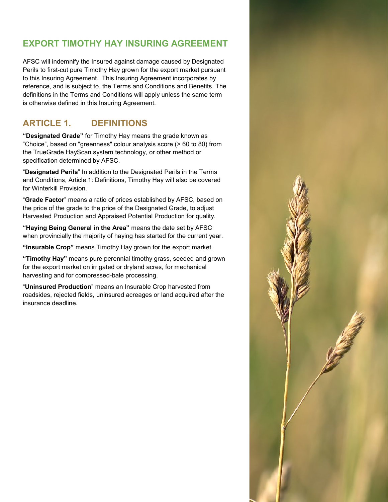# **EXPORT TIMOTHY HAY INSURING AGREEMENT**

AFSC will indemnify the Insured against damage caused by Designated Perils to first-cut pure Timothy Hay grown for the export market pursuant to this Insuring Agreement. This Insuring Agreement incorporates by reference, and is subject to, the Terms and Conditions and Benefits. The definitions in the Terms and Conditions will apply unless the same term is otherwise defined in this Insuring Agreement.

# <span id="page-2-0"></span>**ARTICLE 1. DEFINITIONS**

**"Designated Grade"** for Timothy Hay means the grade known as "Choice", based on "greenness" colour analysis score (> 60 to 80) from the TrueGrade HayScan system technology, or other method or specification determined by AFSC.

"**Designated Perils**" In addition to the Designated Perils in the Terms and Conditions, Article 1: Definitions, Timothy Hay will also be covered for Winterkill Provision.

"**Grade Factor**" means a ratio of prices established by AFSC, based on the price of the grade to the price of the Designated Grade, to adjust Harvested Production and Appraised Potential Production for quality.

**"Haying Being General in the Area"** means the date set by AFSC when provincially the majority of haying has started for the current year.

**"Insurable Crop"** means Timothy Hay grown for the export market.

**"Timothy Hay"** means pure perennial timothy grass, seeded and grown for the export market on irrigated or dryland acres, for mechanical harvesting and for compressed-bale processing.

"**Uninsured Production**" means an Insurable Crop harvested from roadsides, rejected fields, uninsured acreages or land acquired after the insurance deadline.

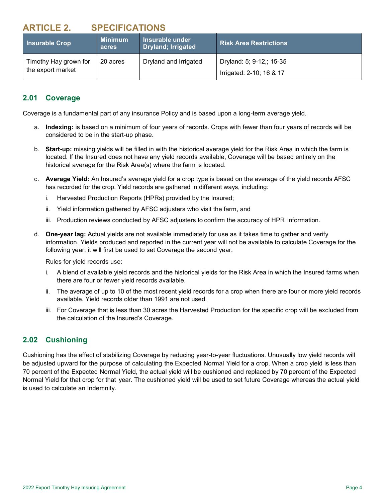## <span id="page-3-0"></span>**ARTICLE 2. SPECIFICATIONS**

| <b>Insurable Crop</b> | <b>Minimum</b><br>acres | Insurable under<br><b>Dryland</b> ; Irrigated | <b>Risk Area Restrictions</b> |
|-----------------------|-------------------------|-----------------------------------------------|-------------------------------|
| Timothy Hay grown for | 20 acres                | Dryland and Irrigated                         | Dryland: 5; 9-12,; 15-35      |
| the export market     |                         |                                               | Irrigated: 2-10; 16 & 17      |

### <span id="page-3-1"></span>**2.01 Coverage**

Coverage is a fundamental part of any insurance Policy and is based upon a long-term average yield.

- a. **Indexing:** is based on a minimum of four years of records. Crops with fewer than four years of records will be considered to be in the start-up phase.
- b. **Start-up:** missing yields will be filled in with the historical average yield for the Risk Area in which the farm is located. If the Insured does not have any yield records available, Coverage will be based entirely on the historical average for the Risk Area(s) where the farm is located.
- c. **Average Yield:** An Insured's average yield for a crop type is based on the average of the yield records AFSC has recorded for the crop. Yield records are gathered in different ways, including:
	- i. Harvested Production Reports (HPRs) provided by the Insured;
	- ii. Yield information gathered by AFSC adjusters who visit the farm, and
	- iii. Production reviews conducted by AFSC adjusters to confirm the accuracy of HPR information.
- d. **One-year lag:** Actual yields are not available immediately for use as it takes time to gather and verify information. Yields produced and reported in the current year will not be available to calculate Coverage for the following year; it will first be used to set Coverage the second year.

Rules for yield records use:

- i. A blend of available yield records and the historical yields for the Risk Area in which the Insured farms when there are four or fewer yield records available.
- ii. The average of up to 10 of the most recent yield records for a crop when there are four or more yield records available. Yield records older than 1991 are not used.
- iii. For Coverage that is less than 30 acres the Harvested Production for the specific crop will be excluded from the calculation of the Insured's Coverage.

## <span id="page-3-2"></span>**2.02 Cushioning**

Cushioning has the effect of stabilizing Coverage by reducing year-to-year fluctuations. Unusually low yield records will be adjusted upward for the purpose of calculating the Expected Normal Yield for a crop. When a crop yield is less than 70 percent of the Expected Normal Yield, the actual yield will be cushioned and replaced by 70 percent of the Expected Normal Yield for that crop for that year. The cushioned yield will be used to set future Coverage whereas the actual yield is used to calculate an Indemnity.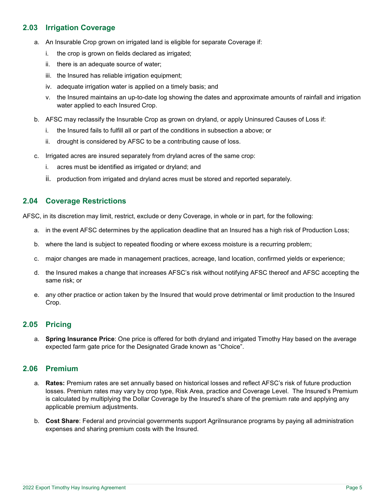## <span id="page-4-0"></span>**2.03 Irrigation Coverage**

- a. An Insurable Crop grown on irrigated land is eligible for separate Coverage if:
	- i. the crop is grown on fields declared as irrigated;
	- ii. there is an adequate source of water;
	- iii. the Insured has reliable irrigation equipment;
	- iv. adequate irrigation water is applied on a timely basis; and
	- v. the Insured maintains an up-to-date log showing the dates and approximate amounts of rainfall and irrigation water applied to each Insured Crop.
- b. AFSC may reclassify the Insurable Crop as grown on dryland, or apply Uninsured Causes of Loss if:
	- i. the Insured fails to fulfill all or part of the conditions in subsection a above; or
	- ii. drought is considered by AFSC to be a contributing cause of loss.
- c. Irrigated acres are insured separately from dryland acres of the same crop:
	- i. acres must be identified as irrigated or dryland; and
	- ii. production from irrigated and dryland acres must be stored and reported separately.

#### <span id="page-4-1"></span>**2.04 Coverage Restrictions**

AFSC, in its discretion may limit, restrict, exclude or deny Coverage, in whole or in part, for the following:

- a. in the event AFSC determines by the application deadline that an Insured has a high risk of Production Loss;
- b. where the land is subject to repeated flooding or where excess moisture is a recurring problem;
- c. major changes are made in management practices, acreage, land location, confirmed yields or experience;
- d. the Insured makes a change that increases AFSC's risk without notifying AFSC thereof and AFSC accepting the same risk; or
- e. any other practice or action taken by the Insured that would prove detrimental or limit production to the Insured Crop.

#### <span id="page-4-2"></span>**2.05 Pricing**

a. **Spring Insurance Price**: One price is offered for both dryland and irrigated Timothy Hay based on the average expected farm gate price for the Designated Grade known as "Choice".

#### <span id="page-4-3"></span>**2.06 Premium**

- a. **Rates:** Premium rates are set annually based on historical losses and reflect AFSC's risk of future production losses. Premium rates may vary by crop type, Risk Area, practice and Coverage Level. The Insured's Premium is calculated by multiplying the Dollar Coverage by the Insured's share of the premium rate and applying any applicable premium adjustments.
- b. **Cost Share**: Federal and provincial governments support AgriInsurance programs by paying all administration expenses and sharing premium costs with the Insured.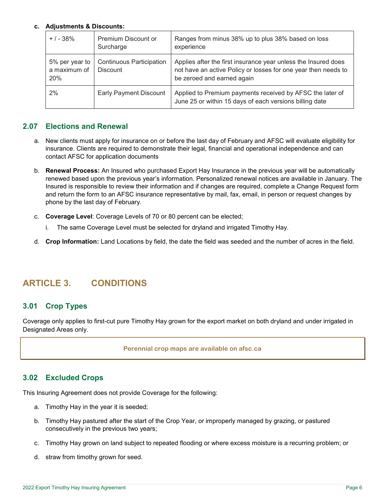#### **c. Adjustments & Discounts:**

| $+$ / - 38%                           | Premium Discount or<br>Surcharge                   | Ranges from minus 38% up to plus 38% based on loss<br>experience                                                                                               |
|---------------------------------------|----------------------------------------------------|----------------------------------------------------------------------------------------------------------------------------------------------------------------|
| 5% per year to<br>a maximum of<br>20% | <b>Continuous Participation</b><br><b>Discount</b> | Applies after the first insurance year unless the Insured does<br>not have an active Policy or losses for one year then needs to<br>be zeroed and earned again |
| 2%                                    | Early Payment Discount                             | Applied to Premium payments received by AFSC the later of<br>June 25 or within 15 days of each versions billing date                                           |

#### <span id="page-5-0"></span>**2.07 Elections and Renewal**

- a. New clients must apply for insurance on or before the last day of February and AFSC will evaluate eligibility for insurance. Clients are required to demonstrate their legal, financial and operational independence and can contact AFSC for application documents
- b. **Renewal Process:** An Insured who purchased Export Hay Insurance in the previous year will be automatically renewed based upon the previous year's information. Personalized renewal notices are available in January. The Insured is responsible to review their information and if changes are required, complete a Change Request form and return the form to an AFSC insurance representative by mail, fax, email, in person or request changes by phone by the last day of February.
- c. **Coverage Level**: Coverage Levels of 70 or 80 percent can be elected;
	- i. The same Coverage Level must be selected for dryland and irrigated Timothy Hay.
- <span id="page-5-1"></span>d. **Crop Information:** Land Locations by field, the date the field was seeded and the number of acres in the field.

# <span id="page-5-2"></span>**ARTICLE 3. CONDITIONS**

#### **3.01 Crop Types**

Coverage only applies to first-cut pure Timothy Hay grown for the export market on both dryland and under irrigated in Designated Areas only.

#### **Perennial crop maps are available on afsc.ca**

## <span id="page-5-3"></span>**3.02 Excluded Crops**

This Insuring Agreement does not provide Coverage for the following:

- a. Timothy Hay in the year it is seeded;
- b. Timothy Hay pastured after the start of the Crop Year, or improperly managed by grazing, or pastured consecutively in the previous two years;
- c. Timothy Hay grown on land subject to repeated flooding or where excess moisture is a recurring problem; or
- d. straw from timothy grown for seed.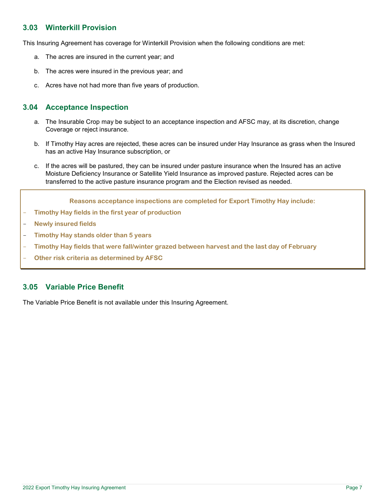#### <span id="page-6-0"></span>**3.03 Winterkill Provision**

This Insuring Agreement has coverage for Winterkill Provision when the following conditions are met:

- a. The acres are insured in the current year; and
- b. The acres were insured in the previous year; and
- c. Acres have not had more than five years of production.

#### <span id="page-6-1"></span>**3.04 Acceptance Inspection**

- a. The Insurable Crop may be subject to an acceptance inspection and AFSC may, at its discretion, change Coverage or reject insurance.
- b. If Timothy Hay acres are rejected, these acres can be insured under Hay Insurance as grass when the Insured has an active Hay Insurance subscription, or
- c. If the acres will be pastured, they can be insured under pasture insurance when the Insured has an active Moisture Deficiency Insurance or Satellite Yield Insurance as improved pasture. Rejected acres can be transferred to the active pasture insurance program and the Election revised as needed.

**Reasons acceptance inspections are completed for Export Timothy Hay include:**

- **Timothy Hay fields in the first year of production**

**Newly insured fields** 

- **Timothy Hay stands older than 5 years**
- **Timothy Hay fields that were fall/winter grazed between harvest and the last day of February**
- **Other risk criteria as determined by AFSC**

#### <span id="page-6-2"></span>**3.05 Variable Price Benefit**

<span id="page-6-3"></span>The Variable Price Benefit is not available under this Insuring Agreement.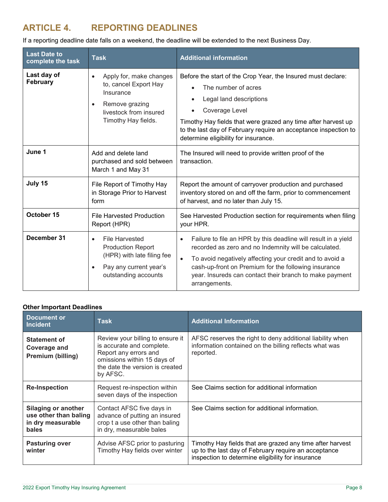# **ARTICLE 4. REPORTING DEADLINES**

If a reporting deadline date falls on a weekend, the deadline will be extended to the next Business Day.

| <b>Last Date to</b><br>complete the task | <b>Task</b>                                                                                                                                    | <b>Additional information</b>                                                                                                                                                                                                                                                                                                                     |  |
|------------------------------------------|------------------------------------------------------------------------------------------------------------------------------------------------|---------------------------------------------------------------------------------------------------------------------------------------------------------------------------------------------------------------------------------------------------------------------------------------------------------------------------------------------------|--|
| Last day of<br><b>February</b>           | Apply for, make changes<br>$\bullet$<br>to, cancel Export Hay<br>Insurance<br>Remove grazing<br>livestock from insured<br>Timothy Hay fields.  | Before the start of the Crop Year, the Insured must declare:<br>The number of acres<br>Legal land descriptions<br>Coverage Level<br>Timothy Hay fields that were grazed any time after harvest up<br>to the last day of February require an acceptance inspection to<br>determine eligibility for insurance.                                      |  |
| June 1                                   | Add and delete land<br>purchased and sold between<br>March 1 and May 31                                                                        | The Insured will need to provide written proof of the<br>transaction.                                                                                                                                                                                                                                                                             |  |
| July 15                                  | File Report of Timothy Hay<br>in Storage Prior to Harvest<br>form                                                                              | Report the amount of carryover production and purchased<br>inventory stored on and off the farm, prior to commencement<br>of harvest, and no later than July 15.                                                                                                                                                                                  |  |
| October 15                               | <b>File Harvested Production</b><br>Report (HPR)                                                                                               | See Harvested Production section for requirements when filing<br>your HPR.                                                                                                                                                                                                                                                                        |  |
| December 31                              | <b>File Harvested</b><br>$\bullet$<br><b>Production Report</b><br>(HPR) with late filing fee<br>Pay any current year's<br>outstanding accounts | Failure to file an HPR by this deadline will result in a yield<br>$\bullet$<br>recorded as zero and no Indemnity will be calculated.<br>To avoid negatively affecting your credit and to avoid a<br>$\bullet$<br>cash-up-front on Premium for the following insurance<br>year. Insureds can contact their branch to make payment<br>arrangements. |  |

#### **Other Important Deadlines**

| Document or<br><b>Incident</b>                                                    | Task                                                                                                                                                                 | <b>Additional Information</b>                                                                                                                                          |
|-----------------------------------------------------------------------------------|----------------------------------------------------------------------------------------------------------------------------------------------------------------------|------------------------------------------------------------------------------------------------------------------------------------------------------------------------|
| <b>Statement of</b><br>Coverage and<br>Premium (billing)                          | Review your billing to ensure it<br>is accurate and complete.<br>Report any errors and<br>omissions within 15 days of<br>the date the version is created<br>by AFSC. | AFSC reserves the right to deny additional liability when<br>information contained on the billing reflects what was<br>reported.                                       |
| <b>Re-Inspection</b>                                                              | Request re-inspection within<br>seven days of the inspection                                                                                                         | See Claims section for additional information                                                                                                                          |
| <b>Silaging or another</b><br>use other than baling<br>in dry measurable<br>bales | Contact AFSC five days in<br>advance of putting an insured<br>crop t a use other than baling<br>in dry, measurable bales                                             | See Claims section for additional information.                                                                                                                         |
| <b>Pasturing over</b><br>winter                                                   | Advise AFSC prior to pasturing<br>Timothy Hay fields over winter                                                                                                     | Timothy Hay fields that are grazed any time after harvest<br>up to the last day of February require an acceptance<br>inspection to determine eligibility for insurance |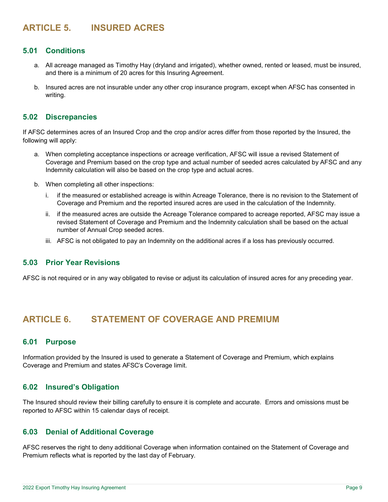# <span id="page-8-1"></span><span id="page-8-0"></span>**ARTICLE 5. INSURED ACRES**

#### **5.01 Conditions**

- a. All acreage managed as Timothy Hay (dryland and irrigated), whether owned, rented or leased, must be insured, and there is a minimum of 20 acres for this Insuring Agreement.
- b. Insured acres are not insurable under any other crop insurance program, except when AFSC has consented in writing.

#### <span id="page-8-2"></span>**5.02 Discrepancies**

If AFSC determines acres of an Insured Crop and the crop and/or acres differ from those reported by the Insured, the following will apply:

- a. When completing acceptance inspections or acreage verification, AFSC will issue a revised Statement of Coverage and Premium based on the crop type and actual number of seeded acres calculated by AFSC and any Indemnity calculation will also be based on the crop type and actual acres.
- b. When completing all other inspections:
	- i. if the measured or established acreage is within Acreage Tolerance, there is no revision to the Statement of Coverage and Premium and the reported insured acres are used in the calculation of the Indemnity.
	- ii. if the measured acres are outside the Acreage Tolerance compared to acreage reported, AFSC may issue a revised Statement of Coverage and Premium and the Indemnity calculation shall be based on the actual number of Annual Crop seeded acres.
	- iii. AFSC is not obligated to pay an Indemnity on the additional acres if a loss has previously occurred.

#### <span id="page-8-3"></span>**5.03 Prior Year Revisions**

AFSC is not required or in any way obligated to revise or adjust its calculation of insured acres for any preceding year.

## <span id="page-8-5"></span><span id="page-8-4"></span>**ARTICLE 6. STATEMENT OF COVERAGE AND PREMIUM**

#### **6.01 Purpose**

Information provided by the Insured is used to generate a Statement of Coverage and Premium, which explains Coverage and Premium and states AFSC's Coverage limit.

#### <span id="page-8-6"></span>**6.02 Insured's Obligation**

The Insured should review their billing carefully to ensure it is complete and accurate. Errors and omissions must be reported to AFSC within 15 calendar days of receipt.

#### <span id="page-8-7"></span>**6.03 Denial of Additional Coverage**

AFSC reserves the right to deny additional Coverage when information contained on the Statement of Coverage and Premium reflects what is reported by the last day of February.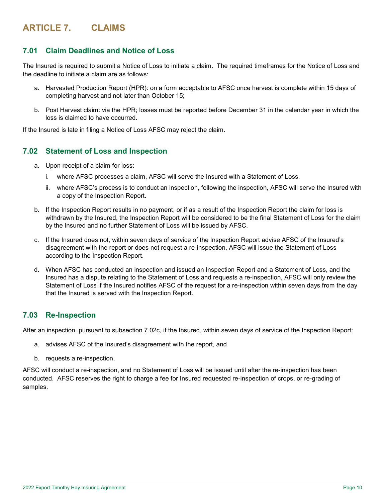# <span id="page-9-1"></span><span id="page-9-0"></span>**ARTICLE 7. CLAIMS**

#### **7.01 Claim Deadlines and Notice of Loss**

The Insured is required to submit a Notice of Loss to initiate a claim. The required timeframes for the Notice of Loss and the deadline to initiate a claim are as follows:

- a. Harvested Production Report (HPR): on a form acceptable to AFSC once harvest is complete within 15 days of completing harvest and not later than October 15;
- b. Post Harvest claim: via the HPR; losses must be reported before December 31 in the calendar year in which the loss is claimed to have occurred.

<span id="page-9-2"></span>If the Insured is late in filing a Notice of Loss AFSC may reject the claim.

#### **7.02 Statement of Loss and Inspection**

- a. Upon receipt of a claim for loss:
	- i. where AFSC processes a claim, AFSC will serve the Insured with a Statement of Loss.
	- ii. where AFSC's process is to conduct an inspection, following the inspection, AFSC will serve the Insured with a copy of the Inspection Report.
- b. If the Inspection Report results in no payment, or if as a result of the Inspection Report the claim for loss is withdrawn by the Insured, the Inspection Report will be considered to be the final Statement of Loss for the claim by the Insured and no further Statement of Loss will be issued by AFSC.
- c. If the Insured does not, within seven days of service of the Inspection Report advise AFSC of the Insured's disagreement with the report or does not request a re-inspection, AFSC will issue the Statement of Loss according to the Inspection Report.
- d. When AFSC has conducted an inspection and issued an Inspection Report and a Statement of Loss, and the Insured has a dispute relating to the Statement of Loss and requests a re-inspection, AFSC will only review the Statement of Loss if the Insured notifies AFSC of the request for a re-inspection within seven days from the day that the Insured is served with the Inspection Report.

#### <span id="page-9-3"></span>**7.03 Re-Inspection**

After an inspection, pursuant to subsection 7.02c, if the Insured, within seven days of service of the Inspection Report:

- a. advises AFSC of the Insured's disagreement with the report, and
- b. requests a re-inspection,

AFSC will conduct a re-inspection, and no Statement of Loss will be issued until after the re-inspection has been conducted. AFSC reserves the right to charge a fee for Insured requested re-inspection of crops, or re-grading of samples.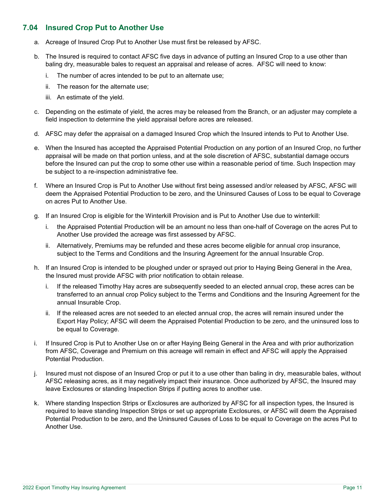#### <span id="page-10-0"></span>**7.04 Insured Crop Put to Another Use**

- a. Acreage of Insured Crop Put to Another Use must first be released by AFSC.
- b. The Insured is required to contact AFSC five days in advance of putting an Insured Crop to a use other than baling dry, measurable bales to request an appraisal and release of acres. AFSC will need to know:
	- i. The number of acres intended to be put to an alternate use;
	- ii. The reason for the alternate use;
	- iii. An estimate of the yield.
- c. Depending on the estimate of yield, the acres may be released from the Branch, or an adjuster may complete a field inspection to determine the yield appraisal before acres are released.
- d. AFSC may defer the appraisal on a damaged Insured Crop which the Insured intends to Put to Another Use.
- e. When the Insured has accepted the Appraised Potential Production on any portion of an Insured Crop, no further appraisal will be made on that portion unless, and at the sole discretion of AFSC, substantial damage occurs before the Insured can put the crop to some other use within a reasonable period of time. Such Inspection may be subject to a re-inspection administrative fee.
- f. Where an Insured Crop is Put to Another Use without first being assessed and/or released by AFSC, AFSC will deem the Appraised Potential Production to be zero, and the Uninsured Causes of Loss to be equal to Coverage on acres Put to Another Use.
- g. If an Insured Crop is eligible for the Winterkill Provision and is Put to Another Use due to winterkill:
	- i. the Appraised Potential Production will be an amount no less than one-half of Coverage on the acres Put to Another Use provided the acreage was first assessed by AFSC.
	- ii. Alternatively, Premiums may be refunded and these acres become eligible for annual crop insurance, subject to the Terms and Conditions and the Insuring Agreement for the annual Insurable Crop.
- h. If an Insured Crop is intended to be ploughed under or sprayed out prior to Haying Being General in the Area, the Insured must provide AFSC with prior notification to obtain release.
	- i. If the released Timothy Hay acres are subsequently seeded to an elected annual crop, these acres can be transferred to an annual crop Policy subject to the Terms and Conditions and the Insuring Agreement for the annual Insurable Crop.
	- ii. If the released acres are not seeded to an elected annual crop, the acres will remain insured under the Export Hay Policy; AFSC will deem the Appraised Potential Production to be zero, and the uninsured loss to be equal to Coverage.
- i. If Insured Crop is Put to Another Use on or after Haying Being General in the Area and with prior authorization from AFSC, Coverage and Premium on this acreage will remain in effect and AFSC will apply the Appraised Potential Production.
- j. Insured must not dispose of an Insured Crop or put it to a use other than baling in dry, measurable bales, without AFSC releasing acres, as it may negatively impact their insurance. Once authorized by AFSC, the Insured may leave Exclosures or standing Inspection Strips if putting acres to another use.
- k. Where standing Inspection Strips or Exclosures are authorized by AFSC for all inspection types, the Insured is required to leave standing Inspection Strips or set up appropriate Exclosures, or AFSC will deem the Appraised Potential Production to be zero, and the Uninsured Causes of Loss to be equal to Coverage on the acres Put to Another Use.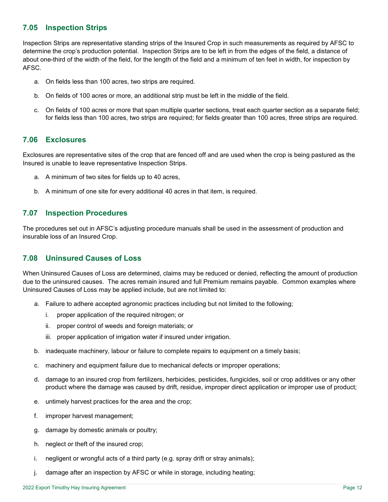#### <span id="page-11-0"></span>**7.05 Inspection Strips**

Inspection Strips are representative standing strips of the Insured Crop in such measurements as required by AFSC to determine the crop's production potential. Inspection Strips are to be left in from the edges of the field, a distance of about one-third of the width of the field, for the length of the field and a minimum of ten feet in width, for inspection by AFSC.

- a. On fields less than 100 acres, two strips are required.
- b. On fields of 100 acres or more, an additional strip must be left in the middle of the field.
- c. On fields of 100 acres or more that span multiple quarter sections, treat each quarter section as a separate field; for fields less than 100 acres, two strips are required; for fields greater than 100 acres, three strips are required.

#### <span id="page-11-1"></span>**7.06 Exclosures**

Exclosures are representative sites of the crop that are fenced off and are used when the crop is being pastured as the Insured is unable to leave representative Inspection Strips.

- a. A minimum of two sites for fields up to 40 acres,
- <span id="page-11-2"></span>b. A minimum of one site for every additional 40 acres in that item, is required.

#### **7.07 Inspection Procedures**

The procedures set out in AFSC's adjusting procedure manuals shall be used in the assessment of production and insurable loss of an Insured Crop.

#### <span id="page-11-3"></span>**7.08 Uninsured Causes of Loss**

When Uninsured Causes of Loss are determined, claims may be reduced or denied, reflecting the amount of production due to the uninsured causes. The acres remain insured and full Premium remains payable. Common examples where Uninsured Causes of Loss may be applied include, but are not limited to:

- a. Failure to adhere accepted agronomic practices including but not limited to the following;
	- i. proper application of the required nitrogen; or
	- ii. proper control of weeds and foreign materials; or
	- iii. proper application of irrigation water if insured under irrigation.
- b. inadequate machinery, labour or failure to complete repairs to equipment on a timely basis;
- c. machinery and equipment failure due to mechanical defects or improper operations;
- d. damage to an insured crop from fertilizers, herbicides, pesticides, fungicides, soil or crop additives or any other product where the damage was caused by drift, residue, improper direct application or improper use of product;
- e. untimely harvest practices for the area and the crop;
- f. improper harvest management;
- g. damage by domestic animals or poultry;
- h. neglect or theft of the insured crop;
- i. negligent or wrongful acts of a third party (e.g. spray drift or stray animals);
- j. damage after an inspection by AFSC or while in storage, including heating;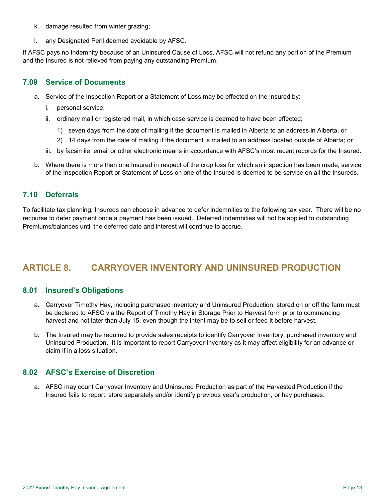- k. damage resulted from winter grazing;
- l. any Designated Peril deemed avoidable by AFSC.

If AFSC pays no Indemnity because of an Uninsured Cause of Loss, AFSC will not refund any portion of the Premium and the Insured is not relieved from paying any outstanding Premium.

#### <span id="page-12-0"></span>**7.09 Service of Documents**

- a. Service of the Inspection Report or a Statement of Loss may be effected on the Insured by:
	- i. personal service;
	- ii. ordinary mail or registered mail, in which case service is deemed to have been effected;
		- 1) seven days from the date of mailing if the document is mailed in Alberta to an address in Alberta, or
		- 2) 14 days from the date of mailing if the document is mailed to an address located outside of Alberta; or
	- iii. by facsimile, email or other electronic means in accordance with AFSC's most recent records for the Insured.
- b. Where there is more than one Insured in respect of the crop loss for which an inspection has been made, service of the Inspection Report or Statement of Loss on one of the Insured is deemed to be service on all the Insureds.

#### <span id="page-12-1"></span>**7.10 Deferrals**

To facilitate tax planning, Insureds can choose in advance to defer indemnities to the following tax year. There will be no recourse to defer payment once a payment has been issued. Deferred indemnities will not be applied to outstanding Premiums/balances until the deferred date and interest will continue to accrue.

# <span id="page-12-3"></span><span id="page-12-2"></span>**ARTICLE 8. CARRYOVER INVENTORY AND UNINSURED PRODUCTION**

#### **8.01 Insured's Obligations**

- a. Carryover Timothy Hay, including purchased inventory and Uninsured Production, stored on or off the farm must be declared to AFSC via the Report of Timothy Hay in Storage Prior to Harvest form prior to commencing harvest and not later than July 15, even though the intent may be to sell or feed it before harvest.
- b. The Insured may be required to provide sales receipts to identify Carryover Inventory, purchased inventory and Uninsured Production. It is important to report Carryover Inventory as it may affect eligibility for an advance or claim if in a loss situation.

#### <span id="page-12-4"></span>**8.02 AFSC's Exercise of Discretion**

a. AFSC may count Carryover Inventory and Uninsured Production as part of the Harvested Production if the Insured fails to report, store separately and/or identify previous year's production, or hay purchases.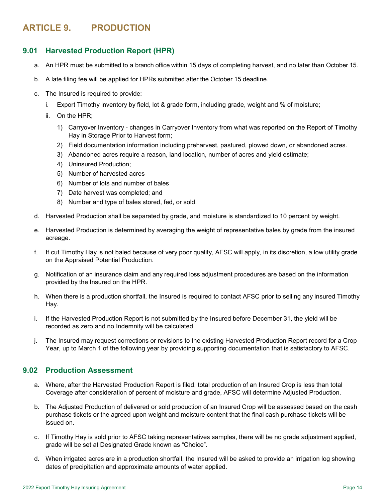# <span id="page-13-1"></span><span id="page-13-0"></span>**ARTICLE 9. PRODUCTION**

#### **9.01 Harvested Production Report (HPR)**

- a. An HPR must be submitted to a branch office within 15 days of completing harvest, and no later than October 15.
- b. A late filing fee will be applied for HPRs submitted after the October 15 deadline.
- c. The Insured is required to provide:
	- i. Export Timothy inventory by field, lot & grade form, including grade, weight and % of moisture;
	- ii. On the HPR;
		- 1) Carryover Inventory changes in Carryover Inventory from what was reported on the Report of Timothy Hay in Storage Prior to Harvest form;
		- 2) Field documentation information including preharvest, pastured, plowed down, or abandoned acres.
		- 3) Abandoned acres require a reason, land location, number of acres and yield estimate;
		- 4) Uninsured Production;
		- 5) Number of harvested acres
		- 6) Number of lots and number of bales
		- 7) Date harvest was completed; and
		- 8) Number and type of bales stored, fed, or sold.
- d. Harvested Production shall be separated by grade, and moisture is standardized to 10 percent by weight.
- e. Harvested Production is determined by averaging the weight of representative bales by grade from the insured acreage.
- f. If cut Timothy Hay is not baled because of very poor quality, AFSC will apply, in its discretion, a low utility grade on the Appraised Potential Production.
- g. Notification of an insurance claim and any required loss adjustment procedures are based on the information provided by the Insured on the HPR.
- h. When there is a production shortfall, the Insured is required to contact AFSC prior to selling any insured Timothy Hay.
- i. If the Harvested Production Report is not submitted by the Insured before December 31, the yield will be recorded as zero and no Indemnity will be calculated.
- j. The Insured may request corrections or revisions to the existing Harvested Production Report record for a Crop Year, up to March 1 of the following year by providing supporting documentation that is satisfactory to AFSC.

#### <span id="page-13-2"></span>**9.02 Production Assessment**

- a. Where, after the Harvested Production Report is filed, total production of an Insured Crop is less than total Coverage after consideration of percent of moisture and grade, AFSC will determine Adjusted Production.
- b. The Adjusted Production of delivered or sold production of an Insured Crop will be assessed based on the cash purchase tickets or the agreed upon weight and moisture content that the final cash purchase tickets will be issued on.
- c. If Timothy Hay is sold prior to AFSC taking representatives samples, there will be no grade adjustment applied, grade will be set at Designated Grade known as "Choice".
- d. When irrigated acres are in a production shortfall, the Insured will be asked to provide an irrigation log showing dates of precipitation and approximate amounts of water applied.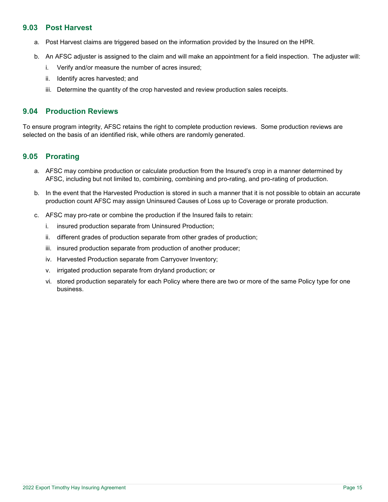#### <span id="page-14-0"></span>**9.03 Post Harvest**

- a. Post Harvest claims are triggered based on the information provided by the Insured on the HPR.
- b. An AFSC adjuster is assigned to the claim and will make an appointment for a field inspection. The adjuster will:
	- i. Verify and/or measure the number of acres insured;
	- ii. Identify acres harvested; and
	- iii. Determine the quantity of the crop harvested and review production sales receipts.

#### <span id="page-14-1"></span>**9.04 Production Reviews**

To ensure program integrity, AFSC retains the right to complete production reviews. Some production reviews are selected on the basis of an identified risk, while others are randomly generated.

#### <span id="page-14-2"></span>**9.05 Prorating**

- a. AFSC may combine production or calculate production from the Insured's crop in a manner determined by AFSC, including but not limited to, combining, combining and pro-rating, and pro-rating of production.
- b. In the event that the Harvested Production is stored in such a manner that it is not possible to obtain an accurate production count AFSC may assign Uninsured Causes of Loss up to Coverage or prorate production.
- c. AFSC may pro-rate or combine the production if the Insured fails to retain:
	- i. insured production separate from Uninsured Production;
	- ii. different grades of production separate from other grades of production;
	- iii. insured production separate from production of another producer;
	- iv. Harvested Production separate from Carryover Inventory;
	- v. irrigated production separate from dryland production; or
	- vi. stored production separately for each Policy where there are two or more of the same Policy type for one business.